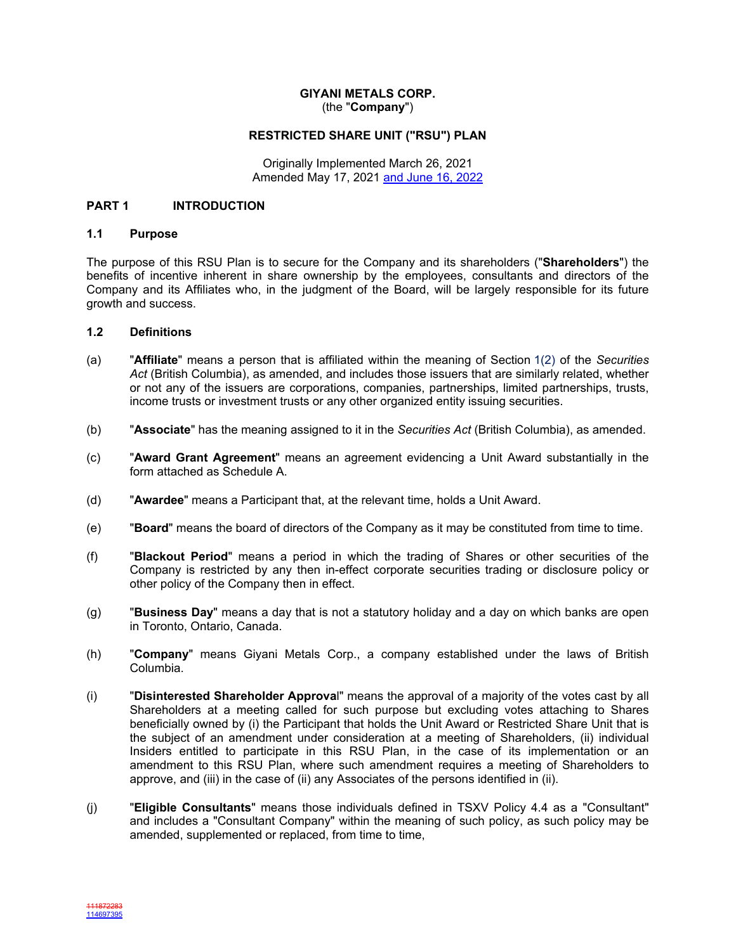### **GIYANI METALS CORP.** (the "**Company**")

### **RESTRICTED SHARE UNIT ("RSU") PLAN**

Originally Implemented March 26, 2021 Amended May 17, 2021 and June 16, 2022

### **PART 1 INTRODUCTION**

### **1.1 Purpose**

The purpose of this RSU Plan is to secure for the Company and its shareholders ("**Shareholders**") the benefits of incentive inherent in share ownership by the employees, consultants and directors of the Company and its Affiliates who, in the judgment of the Board, will be largely responsible for its future growth and success.

#### **1.2 Definitions**

- (a) "**Affiliate**" means a person that is affiliated within the meaning of Section 1(2) of the *Securities Act* (British Columbia), as amended, and includes those issuers that are similarly related, whether or not any of the issuers are corporations, companies, partnerships, limited partnerships, trusts, income trusts or investment trusts or any other organized entity issuing securities.
- (b) "**Associate**" has the meaning assigned to it in the *Securities Act* (British Columbia), as amended.
- (c) "**Award Grant Agreement**" means an agreement evidencing a Unit Award substantially in the form attached as Schedule [A](#page-12-0).
- (d) "**Awardee**" means a Participant that, at the relevant time, holds a Unit Award.
- (e) "**Board**" means the board of directors of the Company as it may be constituted from time to time.
- (f) "**Blackout Period**" means a period in which the trading of Shares or other securities of the Company is restricted by any then in-effect corporate securities trading or disclosure policy or other policy of the Company then in effect.
- (g) "**Business Day**" means a day that is not a statutory holiday and a day on which banks are open in Toronto, Ontario, Canada.
- (h) "**Company**" means Giyani Metals Corp., a company established under the laws of British Columbia.
- (i) "**Disinterested Shareholder Approva**l" means the approval of a majority of the votes cast by all Shareholders at a meeting called for such purpose but excluding votes attaching to Shares beneficially owned by (i) the Participant that holds the Unit Award or Restricted Share Unit that is the subject of an amendment under consideration at a meeting of Shareholders, (ii) individual Insiders entitled to participate in this RSU Plan, in the case of its implementation or an amendment to this RSU Plan, where such amendment requires a meeting of Shareholders to approve, and (iii) in the case of (ii) any Associates of the persons identified in (ii).
- (j) "**Eligible Consultants**" means those individuals defined in TSXV Policy 4.4 as a "Consultant" and includes a "Consultant Company" within the meaning of such policy, as such policy may be amended, supplemented or replaced, from time to time,

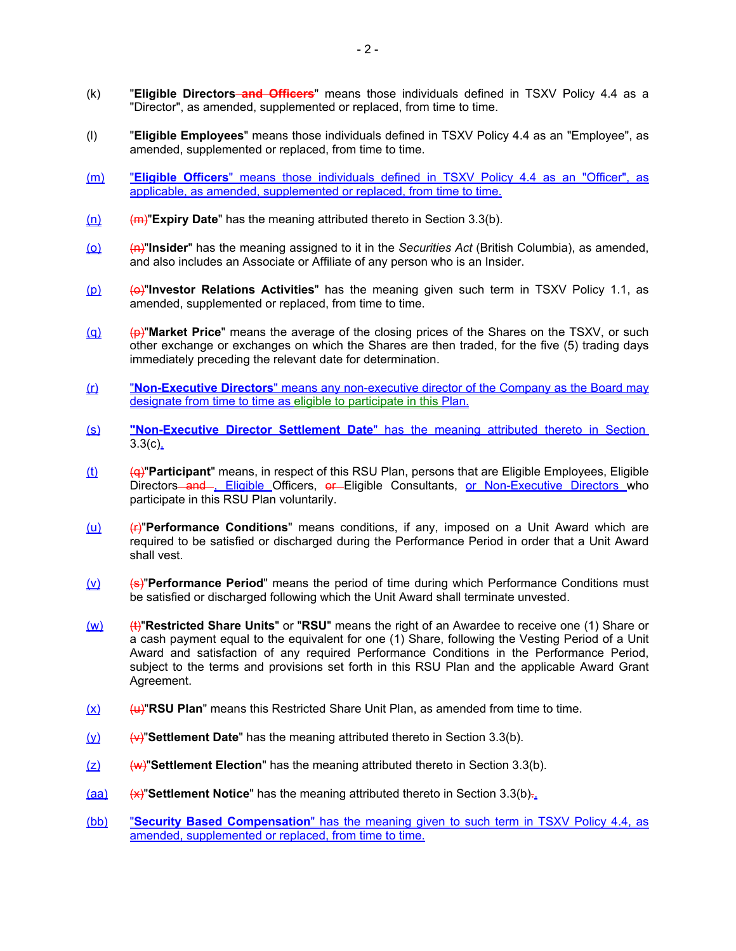- (k) "**Eligible Directors and Officers**" means those individuals defined in TSXV Policy 4.4 as a "Director", as amended, supplemented or replaced, from time to time.
- (l) "**Eligible Employees**" means those individuals defined in TSXV Policy 4.4 as an "Employee", as amended, supplemented or replaced, from time to time.
- (m) "**Eligible Officers**" means those individuals defined in TSXV Policy 4.4 as an "Officer", as applicable, as amended, supplemented or replaced, from time to time.
- (n) (m)"**Expiry Date**" has the meaning attributed thereto in Section [3.3\(b\).](#page-4-0)
- (o) (n)"**Insider**" has the meaning assigned to it in the *Securities Act* (British Columbia), as amended, and also includes an Associate or Affiliate of any person who is an Insider.
- (p) (o)"**Investor Relations Activities**" has the meaning given such term in TSXV Policy 1.1, as amended, supplemented or replaced, from time to time.
- (q) (p)"**Market Price**" means the average of the closing prices of the Shares on the TSXV, or such other exchange or exchanges on which the Shares are then traded, for the five (5) trading days immediately preceding the relevant date for determination.
- (r) "**Non-Executive Directors**" means any non-executive director of the Company as the Board may designate from time to time as eligible to participate in this Plan.
- (s) **"Non-Executive Director Settlement Date**" has the meaning attributed thereto in Section  $3.3(c)$ .
- (t) (q)"**Participant**" means, in respect of this RSU Plan, persons that are Eligible Employees, Eligible Directors and , Eligible Officers, or Eligible Consultants, or Non-Executive Directors who participate in this RSU Plan voluntarily.
- (u) (r)"**Performance Conditions**" means conditions, if any, imposed on a Unit Award which are required to be satisfied or discharged during the Performance Period in order that a Unit Award shall vest.
- (v) (s)<sup>"</sup>**Performance Period**" means the period of time during which Performance Conditions must be satisfied or discharged following which the Unit Award shall terminate unvested.
- (w) (t)"**Restricted Share Units**" or "**RSU**" means the right of an Awardee to receive one (1) Share or a cash payment equal to the equivalent for one (1) Share, following the Vesting Period of a Unit Award and satisfaction of any required Performance Conditions in the Performance Period, subject to the terms and provisions set forth in this RSU Plan and the applicable Award Grant Agreement.
- $(x)$  (u)"RSU Plan" means this Restricted Share Unit Plan, as amended from time to time.
- (y) (v)"**Settlement Date**" has the meaning attributed thereto in Section [3.3\(b\)](#page-4-0).
- (z) (w)"**Settlement Election**" has the meaning attributed thereto in Section [3.3\(b\)](#page-4-0).
- (aa) (x)"**Settlement Notice**" has the meaning attributed thereto in Section [3.3\(b\).](#page-4-0).
- (bb) "**Security Based Compensation**" has the meaning given to such term in TSXV Policy 4.4, as amended, supplemented or replaced, from time to time.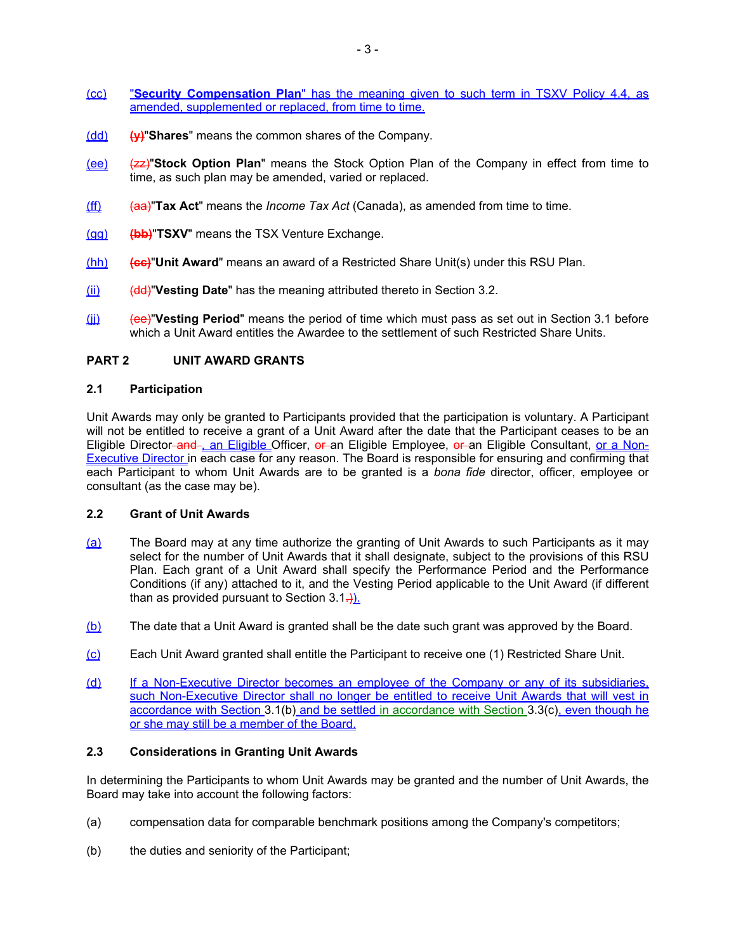- (cc) "**Security Compensation Plan**" has the meaning given to such term in TSXV Policy 4.4, as amended, supplemented or replaced, from time to time.
- (dd) **(y)**"**Shares**" means the common shares of the Company.
- (ee) (zz)"**Stock Option Plan**" means the Stock Option Plan of the Company in effect from time to time, as such plan may be amended, varied or replaced.
- (ff) (aa)"**Tax Act**" means the *Income Tax Act* (Canada), as amended from time to time.
- (gg) **(bb)**"**TSXV**" means the TSX Venture Exchange.
- (hh) **(cc)**"**Unit Award**" means an award of a Restricted Share Unit(s) under this RSU Plan.
- (ii) (dd)<sup>"</sup>Vesting Date" has the meaning attributed thereto in Section [3.2.](#page-4-1)
- (jj) (ee)"**Vesting Period**" means the period of time which must pass as set out in Section [3.1](#page-3-0) before which a Unit Award entitles the Awardee to the settlement of such Restricted Share Units.

## <span id="page-2-0"></span>**PART 2 UNIT AWARD GRANTS**

#### **2.1 Participation**

Unit Awards may only be granted to Participants provided that the participation is voluntary. A Participant will not be entitled to receive a grant of a Unit Award after the date that the Participant ceases to be an Eligible Director-and-, an Eligible Officer, or an Eligible Employee, or an Eligible Consultant, or a Non-Executive Director in each case for any reason. The Board is responsible for ensuring and confirming that each Participant to whom Unit Awards are to be granted is a *bona fide* director, officer, employee or consultant (as the case may be).

## **2.2 Grant of Unit Awards**

- (a) The Board may at any time authorize the granting of Unit Awards to such Participants as it may select for the number of Unit Awards that it shall designate, subject to the provisions of this RSU Plan. Each grant of a Unit Award shall specify the Performance Period and the Performance Conditions (if any) attached to it, and the Vesting Period applicable to the Unit Award (if different than as provided pursuant to Section  $3.1\rightarrow$ ).
- (b) The date that a Unit Award is granted shall be the date such grant was approved by the Board.
- (c) Each Unit Award granted shall entitle the Participant to receive one (1) Restricted Share Unit.
- (d) If a Non-Executive Director becomes an employee of the Company or any of its subsidiaries, such Non-Executive Director shall no longer be entitled to receive Unit Awards that will vest in accordance with Section [3.1\(b\)](#page-4-2) and be settled in accordance with Section [3.3\(c\),](#page-5-0) even though he or she may still be a member of the Board.

## **2.3 Considerations in Granting Unit Awards**

In determining the Participants to whom Unit Awards may be granted and the number of Unit Awards, the Board may take into account the following factors:

- (a) compensation data for comparable benchmark positions among the Company's competitors;
- (b) the duties and seniority of the Participant;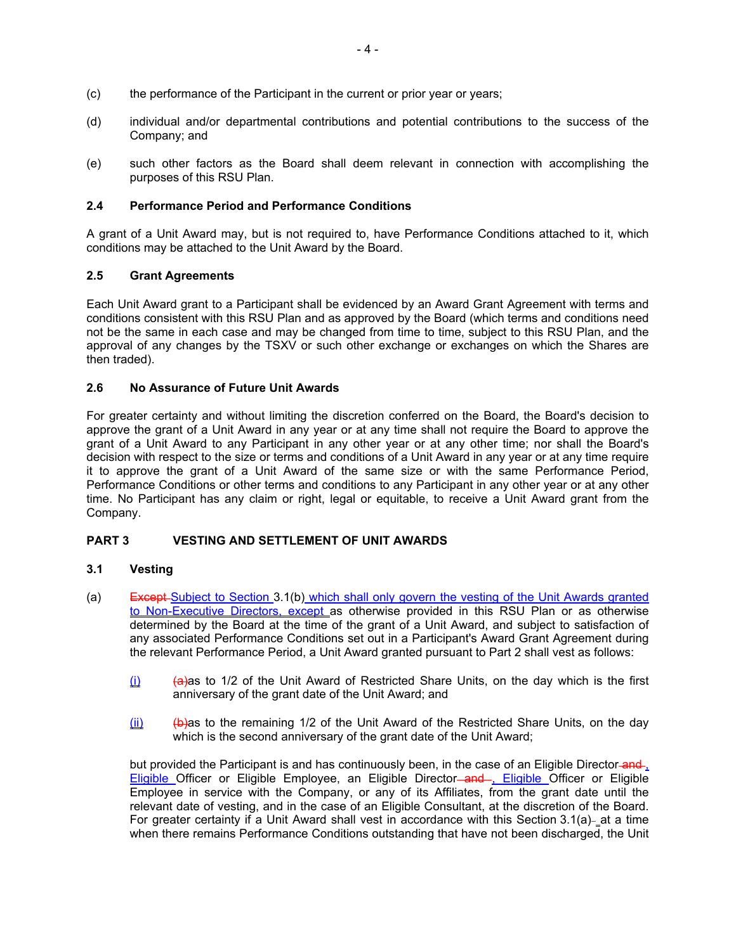- (c) the performance of the Participant in the current or prior year or years;
- (d) individual and/or departmental contributions and potential contributions to the success of the Company; and
- (e) such other factors as the Board shall deem relevant in connection with accomplishing the purposes of this RSU Plan.

## **2.4 Performance Period and Performance Conditions**

A grant of a Unit Award may, but is not required to, have Performance Conditions attached to it, which conditions may be attached to the Unit Award by the Board.

## **2.5 Grant Agreements**

Each Unit Award grant to a Participant shall be evidenced by an Award Grant Agreement with terms and conditions consistent with this RSU Plan and as approved by the Board (which terms and conditions need not be the same in each case and may be changed from time to time, subject to this RSU Plan, and the approval of any changes by the TSXV or such other exchange or exchanges on which the Shares are then traded).

## **2.6 No Assurance of Future Unit Awards**

For greater certainty and without limiting the discretion conferred on the Board, the Board's decision to approve the grant of a Unit Award in any year or at any time shall not require the Board to approve the grant of a Unit Award to any Participant in any other year or at any other time; nor shall the Board's decision with respect to the size or terms and conditions of a Unit Award in any year or at any time require it to approve the grant of a Unit Award of the same size or with the same Performance Period, Performance Conditions or other terms and conditions to any Participant in any other year or at any other time. No Participant has any claim or right, legal or equitable, to receive a Unit Award grant from the Company.

# **PART 3 VESTING AND SETTLEMENT OF UNIT AWARDS**

### <span id="page-3-0"></span>**3.1 Vesting**

- <span id="page-3-1"></span>(a) Except Subject to Section [3.1\(b\)](#page-4-2) which shall only govern the vesting of the Unit Awards granted to Non-Executive Directors, except as otherwise provided in this RSU Plan or as otherwise determined by the Board at the time of the grant of a Unit Award, and subject to satisfaction of any associated Performance Conditions set out in a Participant's Award Grant Agreement during the relevant Performance Period, a Unit Award granted pursuant to [Part 2](#page-2-0) shall vest as follows:
	- (i) (a)as to 1/2 of the Unit Award of Restricted Share Units, on the day which is the first anniversary of the grant date of the Unit Award; and
	- $(i)$  (b)as to the remaining 1/2 of the Unit Award of the Restricted Share Units, on the day which is the second anniversary of the grant date of the Unit Award;

but provided the Participant is and has continuously been, in the case of an Eligible Director-and-Eligible Officer or Eligible Employee, an Eligible Director-and , Eligible Officer or Eligible Employee in service with the Company, or any of its Affiliates, from the grant date until the relevant date of vesting, and in the case of an Eligible Consultant, at the discretion of the Board. For greater certainty if a Unit Award shall vest in accordance with this Section  $3.1(a)$  at a time when there remains Performance Conditions outstanding that have not been discharged, the Unit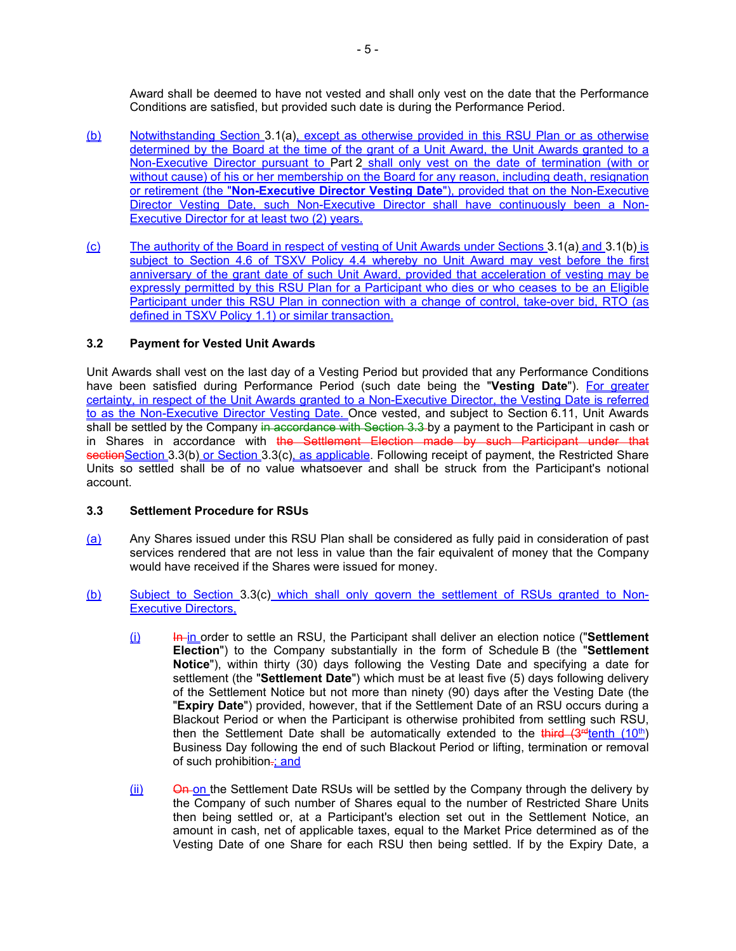Award shall be deemed to have not vested and shall only vest on the date that the Performance Conditions are satisfied, but provided such date is during the Performance Period.

- <span id="page-4-2"></span>(b) Notwithstanding Section [3.1\(a\)](#page-3-1), except as otherwise provided in this RSU Plan or as otherwise determined by the Board at the time of the grant of a Unit Award, the Unit Awards granted to a Non-Executive Director pursuant to [Part 2](#page-2-0) shall only vest on the date of termination (with or without cause) of his or her membership on the Board for any reason, including death, resignation or retirement (the "**Non-Executive Director Vesting Date**"), provided that on the Non-Executive Director Vesting Date, such Non-Executive Director shall have continuously been a Non-Executive Director for at least two (2) years.
- (c) The authority of the Board in respect of vesting of Unit Awards under Sections [3.1\(a\)](#page-3-1) and [3.1\(b\)](#page-4-2) is subject to Section 4.6 of TSXV Policy 4.4 whereby no Unit Award may vest before the first anniversary of the grant date of such Unit Award, provided that acceleration of vesting may be expressly permitted by this RSU Plan for a Participant who dies or who ceases to be an Eligible Participant under this RSU Plan in connection with a change of control, take-over bid, RTO (as defined in TSXV Policy 1.1) or similar transaction.

# <span id="page-4-1"></span>**3.2 Payment for Vested Unit Awards**

Unit Awards shall vest on the last day of a Vesting Period but provided that any Performance Conditions have been satisfied during Performance Period (such date being the "**Vesting Date**"). For greater certainty, in respect of the Unit Awards granted to a Non-Executive Director, the Vesting Date is referred to as the Non-Executive Director Vesting Date. Once vested, and subject to Section [6.11](#page-9-0), Unit Awards shall be settled by the Company in accordance with Section 3.3 by a payment to the Participant in cash or in Shares in accordance with the Settlement Election made by such Participant under that section Section [3.3\(b\)](#page-4-0) or Section [3.3\(c\)](#page-5-0), as applicable. Following receipt of payment, the Restricted Share Units so settled shall be of no value whatsoever and shall be struck from the Participant's notional account.

# <span id="page-4-3"></span>**3.3 Settlement Procedure for RSUs**

- (a) Any Shares issued under this RSU Plan shall be considered as fully paid in consideration of past services rendered that are not less in value than the fair equivalent of money that the Company would have received if the Shares were issued for money.
- <span id="page-4-0"></span>(b) Subject to Section [3.3\(c\)](#page-5-0) which shall only govern the settlement of RSUs granted to Non-Executive Directors,
	- (i) In in order to settle an RSU, the Participant shall deliver an election notice ("**Settlement Election**") to the Company substantially in the form of Schedule [B](#page-13-0) (the "**Settlement Notice**"), within thirty (30) days following the Vesting Date and specifying a date for settlement (the "**Settlement Date**") which must be at least five (5) days following delivery of the Settlement Notice but not more than ninety (90) days after the Vesting Date (the "**Expiry Date**") provided, however, that if the Settlement Date of an RSU occurs during a Blackout Period or when the Participant is otherwise prohibited from settling such RSU, then the Settlement Date shall be automatically extended to the third  $(3^{rd}$ tenth  $(10^{th})$ Business Day following the end of such Blackout Period or lifting, termination or removal of such prohibition.: and
	- (ii) On on the Settlement Date RSUs will be settled by the Company through the delivery by the Company of such number of Shares equal to the number of Restricted Share Units then being settled or, at a Participant's election set out in the Settlement Notice, an amount in cash, net of applicable taxes, equal to the Market Price determined as of the Vesting Date of one Share for each RSU then being settled. If by the Expiry Date, a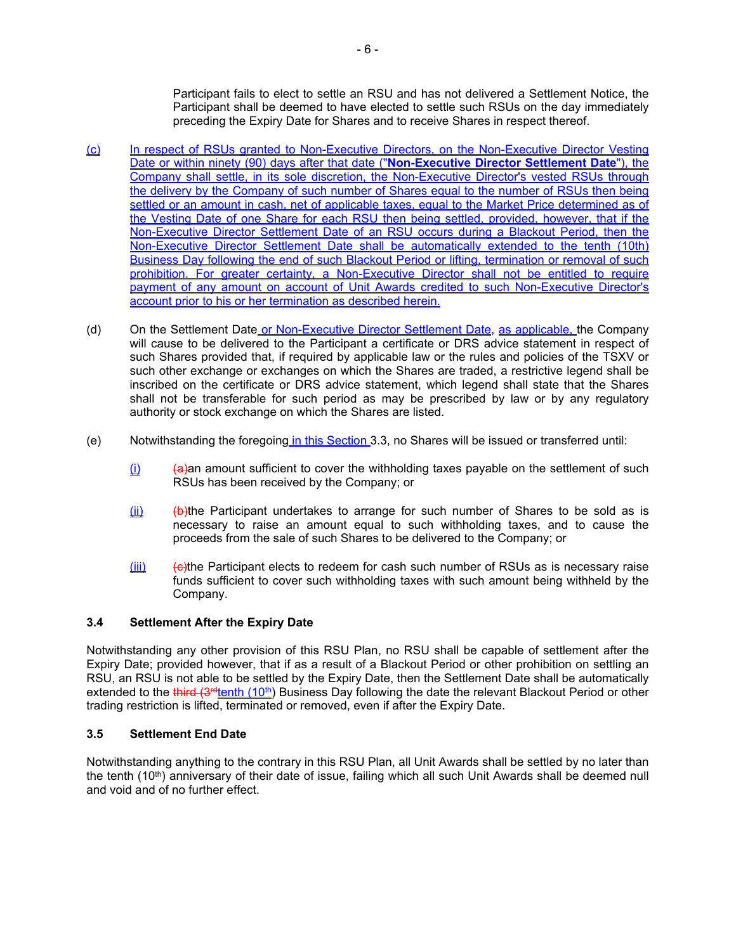Participant fails to elect to settle an RSU and has not delivered a Settlement Notice, the Participant shall be deemed to have elected to settle such RSUs on the day immediately preceding the Expiry Date for Shares and to receive Shares in respect thereof.

- <span id="page-5-0"></span>(c) In respect of RSUs granted to Non-Executive Directors, on the Non-Executive Director Vesting Date or within ninety (90) days after that date ("**Non-Executive Director Settlement Date**"), the Company shall settle, in its sole discretion, the Non-Executive Director's vested RSUs through the delivery by the Company of such number of Shares equal to the number of RSUs then being settled or an amount in cash, net of applicable taxes, equal to the Market Price determined as of the Vesting Date of one Share for each RSU then being settled, provided, however, that if the Non-Executive Director Settlement Date of an RSU occurs during a Blackout Period, then the Non-Executive Director Settlement Date shall be automatically extended to the tenth (10th) Business Day following the end of such Blackout Period or lifting, termination or removal of such prohibition. For greater certainty, a Non-Executive Director shall not be entitled to require payment of any amount on account of Unit Awards credited to such Non-Executive Director's account prior to his or her termination as described herein.
- (d) On the Settlement Date or Non-Executive Director Settlement Date, as applicable, the Company will cause to be delivered to the Participant a certificate or DRS advice statement in respect of such Shares provided that, if required by applicable law or the rules and policies of the TSXV or such other exchange or exchanges on which the Shares are traded, a restrictive legend shall be inscribed on the certificate or DRS advice statement, which legend shall state that the Shares shall not be transferable for such period as may be prescribed by law or by any regulatory authority or stock exchange on which the Shares are listed.
- <span id="page-5-1"></span>(e) Notwithstanding the foregoing in this Section [3.3](#page-4-3), no Shares will be issued or transferred until:
	- $(i)$  (a) (a) (a) an amount sufficient to cover the withholding taxes payable on the settlement of such RSUs has been received by the Company; or
	- $(iii)$  (b)the Participant undertakes to arrange for such number of Shares to be sold as is necessary to raise an amount equal to such withholding taxes, and to cause the proceeds from the sale of such Shares to be delivered to the Company; or
	- $(iii)$  ( $\Theta$ )the Participant elects to redeem for cash such number of RSUs as is necessary raise funds sufficient to cover such withholding taxes with such amount being withheld by the Company.

### **3.4 Settlement After the Expiry Date**

Notwithstanding any other provision of this RSU Plan, no RSU shall be capable of settlement after the Expiry Date; provided however, that if as a result of a Blackout Period or other prohibition on settling an RSU, an RSU is not able to be settled by the Expiry Date, then the Settlement Date shall be automatically extended to the third (3<sup>rd</sup>tenth (10<sup>th</sup>) Business Day following the date the relevant Blackout Period or other trading restriction is lifted, terminated or removed, even if after the Expiry Date.

# **3.5 Settlement End Date**

Notwithstanding anything to the contrary in this RSU Plan, all Unit Awards shall be settled by no later than the tenth  $(10<sup>th</sup>)$  anniversary of their date of issue, failing which all such Unit Awards shall be deemed null and void and of no further effect.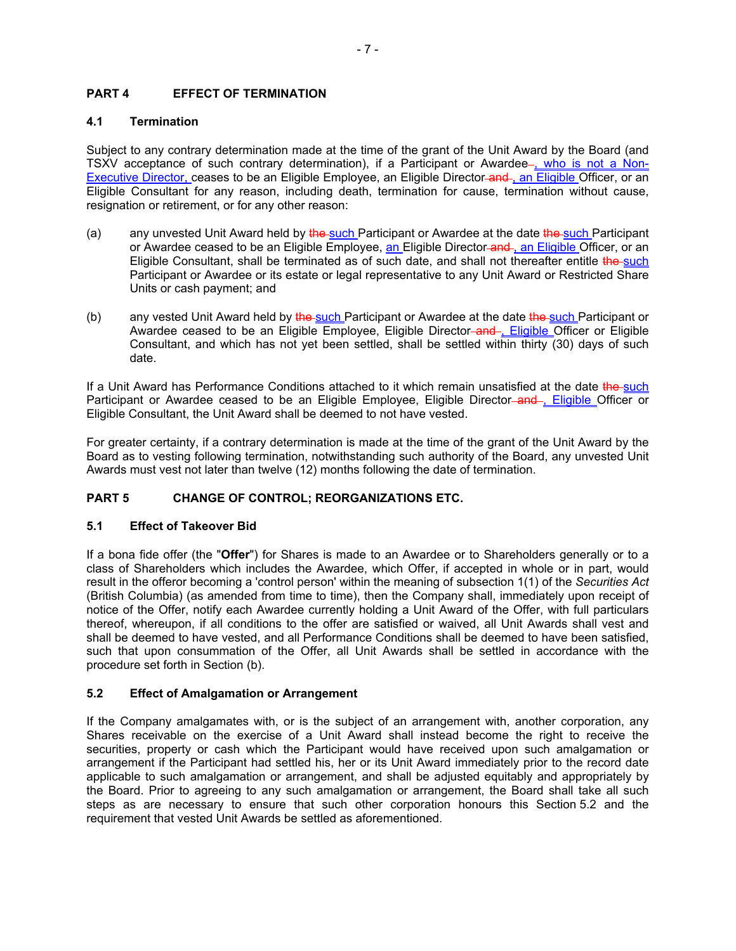# **PART 4 EFFECT OF TERMINATION**

# **4.1 Termination**

Subject to any contrary determination made at the time of the grant of the Unit Award by the Board (and TSXV acceptance of such contrary determination), if a Participant or Awardee-, who is not a Non-Executive Director, ceases to be an Eligible Employee, an Eligible Director-and-, an Eligible Officer, or an Eligible Consultant for any reason, including death, termination for cause, termination without cause, resignation or retirement, or for any other reason:

- (a) any unvested Unit Award held by the such Participant or Awardee at the date the such Participant or Awardee ceased to be an Eligible Employee, an Eligible Director and, an Eligible Officer, or an Eligible Consultant, shall be terminated as of such date, and shall not thereafter entitle the such Participant or Awardee or its estate or legal representative to any Unit Award or Restricted Share Units or cash payment; and
- (b) any vested Unit Award held by the such Participant or Awardee at the date the such Participant or Awardee ceased to be an Eligible Employee, Eligible Director-and-, Eligible Officer or Eligible Consultant, and which has not yet been settled, shall be settled within thirty (30) days of such date.

If a Unit Award has Performance Conditions attached to it which remain unsatisfied at the date the such Participant or Awardee ceased to be an Eligible Employee, Eligible Director-and-, Eligible Officer or Eligible Consultant, the Unit Award shall be deemed to not have vested.

For greater certainty, if a contrary determination is made at the time of the grant of the Unit Award by the Board as to vesting following termination, notwithstanding such authority of the Board, any unvested Unit Awards must vest not later than twelve (12) months following the date of termination.

# **PART 5 CHANGE OF CONTROL; REORGANIZATIONS ETC.**

# **5.1 Effect of Takeover Bid**

If a bona fide offer (the "**Offer**") for Shares is made to an Awardee or to Shareholders generally or to a class of Shareholders which includes the Awardee, which Offer, if accepted in whole or in part, would result in the offeror becoming a 'control person' within the meaning of subsection 1(1) of the *Securities Act* (British Columbia) (as amended from time to time), then the Company shall, immediately upon receipt of notice of the Offer, notify each Awardee currently holding a Unit Award of the Offer, with full particulars thereof, whereupon, if all conditions to the offer are satisfied or waived, all Unit Awards shall vest and shall be deemed to have vested, and all Performance Conditions shall be deemed to have been satisfied, such that upon consummation of the Offer, all Unit Awards shall be settled in accordance with the procedure set forth in Section [\(b\).](#page-4-0)

# <span id="page-6-0"></span>**5.2 Effect of Amalgamation or Arrangement**

If the Company amalgamates with, or is the subject of an arrangement with, another corporation, any Shares receivable on the exercise of a Unit Award shall instead become the right to receive the securities, property or cash which the Participant would have received upon such amalgamation or arrangement if the Participant had settled his, her or its Unit Award immediately prior to the record date applicable to such amalgamation or arrangement, and shall be adjusted equitably and appropriately by the Board. Prior to agreeing to any such amalgamation or arrangement, the Board shall take all such steps as are necessary to ensure that such other corporation honours this Section [5.2](#page-6-0) and the requirement that vested Unit Awards be settled as aforementioned.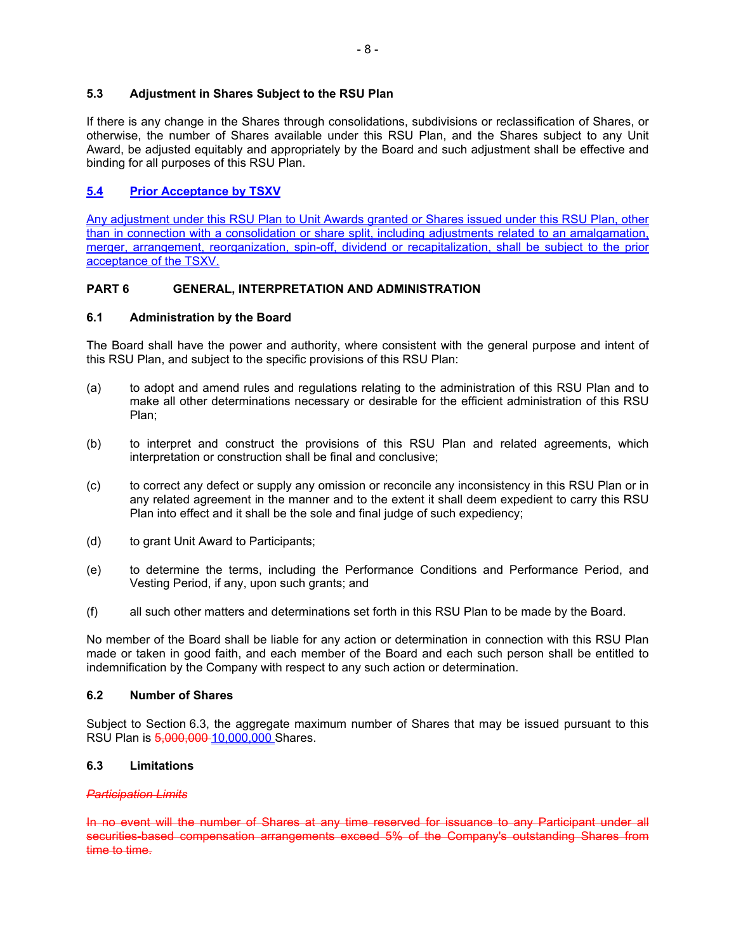### **5.3 Adjustment in Shares Subject to the RSU Plan**

If there is any change in the Shares through consolidations, subdivisions or reclassification of Shares, or otherwise, the number of Shares available under this RSU Plan, and the Shares subject to any Unit Award, be adjusted equitably and appropriately by the Board and such adjustment shall be effective and binding for all purposes of this RSU Plan.

# **5.4 Prior Acceptance by TSXV**

Any adjustment under this RSU Plan to Unit Awards granted or Shares issued under this RSU Plan, other than in connection with a consolidation or share split, including adjustments related to an amalgamation, merger, arrangement, reorganization, spin-off, dividend or recapitalization, shall be subject to the prior acceptance of the TSXV.

## **PART 6 GENERAL, INTERPRETATION AND ADMINISTRATION**

### **6.1 Administration by the Board**

The Board shall have the power and authority, where consistent with the general purpose and intent of this RSU Plan, and subject to the specific provisions of this RSU Plan:

- (a) to adopt and amend rules and regulations relating to the administration of this RSU Plan and to make all other determinations necessary or desirable for the efficient administration of this RSU Plan;
- (b) to interpret and construct the provisions of this RSU Plan and related agreements, which interpretation or construction shall be final and conclusive;
- (c) to correct any defect or supply any omission or reconcile any inconsistency in this RSU Plan or in any related agreement in the manner and to the extent it shall deem expedient to carry this RSU Plan into effect and it shall be the sole and final judge of such expediency;
- (d) to grant Unit Award to Participants;
- (e) to determine the terms, including the Performance Conditions and Performance Period, and Vesting Period, if any, upon such grants; and
- (f) all such other matters and determinations set forth in this RSU Plan to be made by the Board.

No member of the Board shall be liable for any action or determination in connection with this RSU Plan made or taken in good faith, and each member of the Board and each such person shall be entitled to indemnification by the Company with respect to any such action or determination.

### **6.2 Number of Shares**

Subject to Section [6.3,](#page-7-0) the aggregate maximum number of Shares that may be issued pursuant to this RSU Plan is 5,000,000 10,000,000 Shares.

## <span id="page-7-0"></span>**6.3 Limitations**

### *Participation Limits*

In no event will the number of Shares at any time reserved for issuance to any Participant under all securities-based compensation arrangements exceed 5% of the Company's outstanding Shares from time to time.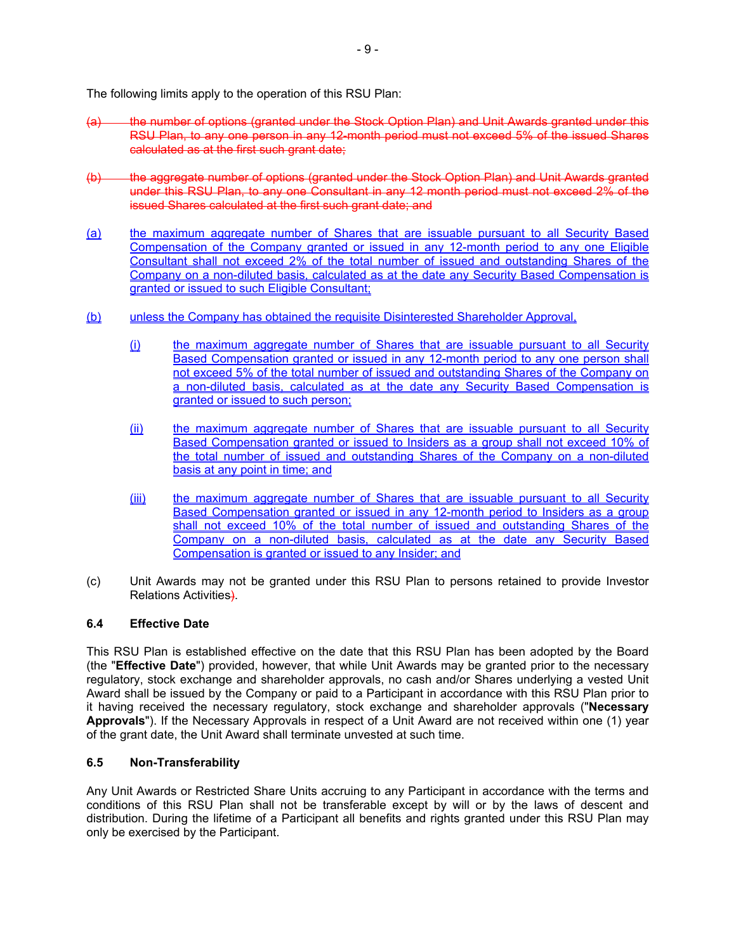The following limits apply to the operation of this RSU Plan:

- (a) the number of options (granted under the Stock Option Plan) and Unit Awards granted under this RSU Plan, to any one person in any 12-month period must not exceed 5% of the issued Shares calculated as at the first such grant date;
- (b) the aggregate number of options (granted under the Stock Option Plan) and Unit Awards granted under this RSU Plan, to any one Consultant in any 12 month period must not exceed 2% of the issued Shares calculated at the first such grant date; and
- (a) the maximum aggregate number of Shares that are issuable pursuant to all Security Based Compensation of the Company granted or issued in any 12-month period to any one Eligible Consultant shall not exceed 2% of the total number of issued and outstanding Shares of the Company on a non-diluted basis, calculated as at the date any Security Based Compensation is granted or issued to such Eligible Consultant;
- <span id="page-8-0"></span>(b) unless the Company has obtained the requisite Disinterested Shareholder Approval,
	- (i) the maximum aggregate number of Shares that are issuable pursuant to all Security Based Compensation granted or issued in any 12-month period to any one person shall not exceed 5% of the total number of issued and outstanding Shares of the Company on a non-diluted basis, calculated as at the date any Security Based Compensation is granted or issued to such person;
	- (ii) the maximum aggregate number of Shares that are issuable pursuant to all Security Based Compensation granted or issued to Insiders as a group shall not exceed 10% of the total number of issued and outstanding Shares of the Company on a non-diluted basis at any point in time; and
	- (iii) the maximum aggregate number of Shares that are issuable pursuant to all Security Based Compensation granted or issued in any 12-month period to Insiders as a group shall not exceed 10% of the total number of issued and outstanding Shares of the Company on a non-diluted basis, calculated as at the date any Security Based Compensation is granted or issued to any Insider; and
- (c) Unit Awards may not be granted under this RSU Plan to persons retained to provide Investor Relations Activities).

# **6.4 Effective Date**

This RSU Plan is established effective on the date that this RSU Plan has been adopted by the Board (the "**Effective Date**") provided, however, that while Unit Awards may be granted prior to the necessary regulatory, stock exchange and shareholder approvals, no cash and/or Shares underlying a vested Unit Award shall be issued by the Company or paid to a Participant in accordance with this RSU Plan prior to it having received the necessary regulatory, stock exchange and shareholder approvals ("**Necessary Approvals**"). If the Necessary Approvals in respect of a Unit Award are not received within one (1) year of the grant date, the Unit Award shall terminate unvested at such time.

### **6.5 Non-Transferability**

Any Unit Awards or Restricted Share Units accruing to any Participant in accordance with the terms and conditions of this RSU Plan shall not be transferable except by will or by the laws of descent and distribution. During the lifetime of a Participant all benefits and rights granted under this RSU Plan may only be exercised by the Participant.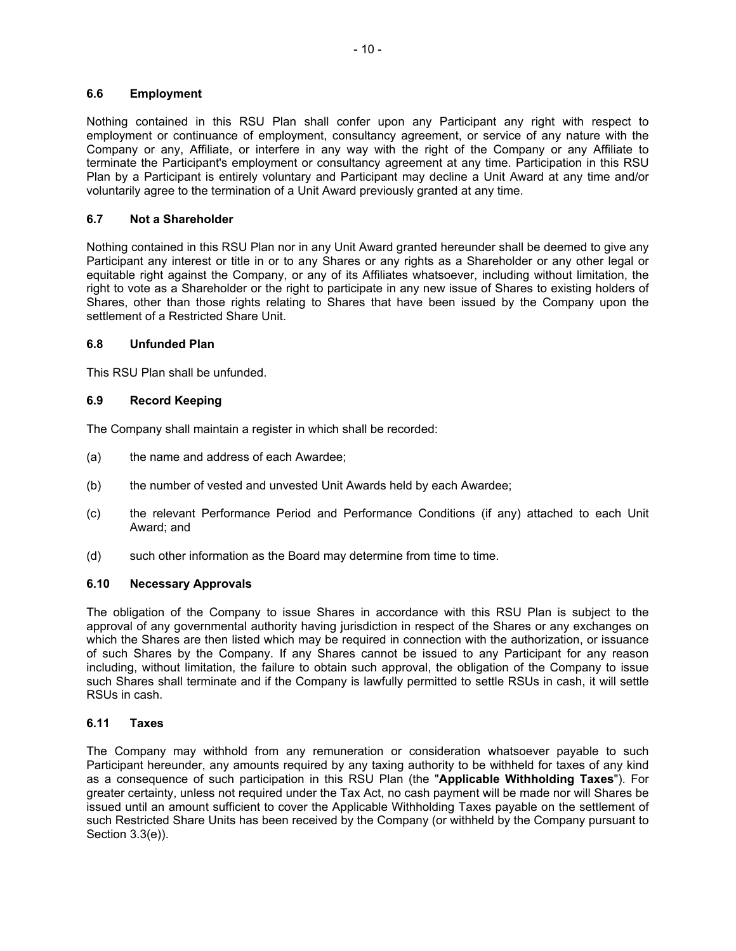### **6.6 Employment**

Nothing contained in this RSU Plan shall confer upon any Participant any right with respect to employment or continuance of employment, consultancy agreement, or service of any nature with the Company or any, Affiliate, or interfere in any way with the right of the Company or any Affiliate to terminate the Participant's employment or consultancy agreement at any time. Participation in this RSU Plan by a Participant is entirely voluntary and Participant may decline a Unit Award at any time and/or voluntarily agree to the termination of a Unit Award previously granted at any time.

## **6.7 Not a Shareholder**

Nothing contained in this RSU Plan nor in any Unit Award granted hereunder shall be deemed to give any Participant any interest or title in or to any Shares or any rights as a Shareholder or any other legal or equitable right against the Company, or any of its Affiliates whatsoever, including without limitation, the right to vote as a Shareholder or the right to participate in any new issue of Shares to existing holders of Shares, other than those rights relating to Shares that have been issued by the Company upon the settlement of a Restricted Share Unit.

## **6.8 Unfunded Plan**

This RSU Plan shall be unfunded.

## **6.9 Record Keeping**

The Company shall maintain a register in which shall be recorded:

- (a) the name and address of each Awardee;
- (b) the number of vested and unvested Unit Awards held by each Awardee;
- (c) the relevant Performance Period and Performance Conditions (if any) attached to each Unit Award; and
- (d) such other information as the Board may determine from time to time.

### **6.10 Necessary Approvals**

The obligation of the Company to issue Shares in accordance with this RSU Plan is subject to the approval of any governmental authority having jurisdiction in respect of the Shares or any exchanges on which the Shares are then listed which may be required in connection with the authorization, or issuance of such Shares by the Company. If any Shares cannot be issued to any Participant for any reason including, without limitation, the failure to obtain such approval, the obligation of the Company to issue such Shares shall terminate and if the Company is lawfully permitted to settle RSUs in cash, it will settle RSUs in cash.

### <span id="page-9-0"></span>**6.11 Taxes**

The Company may withhold from any remuneration or consideration whatsoever payable to such Participant hereunder, any amounts required by any taxing authority to be withheld for taxes of any kind as a consequence of such participation in this RSU Plan (the "**Applicable Withholding Taxes**"). For greater certainty, unless not required under the Tax Act, no cash payment will be made nor will Shares be issued until an amount sufficient to cover the Applicable Withholding Taxes payable on the settlement of such Restricted Share Units has been received by the Company (or withheld by the Company pursuant to Section [3.3\(e\)](#page-5-1)).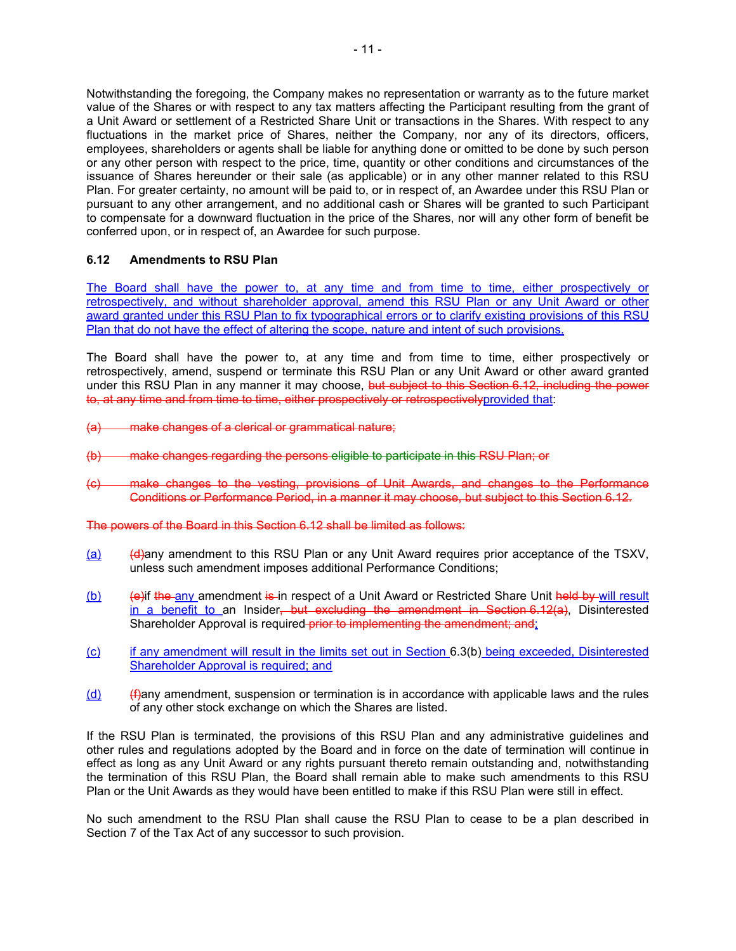Notwithstanding the foregoing, the Company makes no representation or warranty as to the future market value of the Shares or with respect to any tax matters affecting the Participant resulting from the grant of a Unit Award or settlement of a Restricted Share Unit or transactions in the Shares. With respect to any fluctuations in the market price of Shares, neither the Company, nor any of its directors, officers, employees, shareholders or agents shall be liable for anything done or omitted to be done by such person or any other person with respect to the price, time, quantity or other conditions and circumstances of the issuance of Shares hereunder or their sale (as applicable) or in any other manner related to this RSU Plan. For greater certainty, no amount will be paid to, or in respect of, an Awardee under this RSU Plan or pursuant to any other arrangement, and no additional cash or Shares will be granted to such Participant to compensate for a downward fluctuation in the price of the Shares, nor will any other form of benefit be conferred upon, or in respect of, an Awardee for such purpose.

## **6.12 Amendments to RSU Plan**

The Board shall have the power to, at any time and from time to time, either prospectively or retrospectively, and without shareholder approval, amend this RSU Plan or any Unit Award or other award granted under this RSU Plan to fix typographical errors or to clarify existing provisions of this RSU Plan that do not have the effect of altering the scope, nature and intent of such provisions.

The Board shall have the power to, at any time and from time to time, either prospectively or retrospectively, amend, suspend or terminate this RSU Plan or any Unit Award or other award granted under this RSU Plan in any manner it may choose, but subject to this Section 6.12, including the power to, at any time and from time to time, either prospectively or retrospectivelyprovided that:

- (a) make changes of a clerical or grammatical nature;
- (b) make changes regarding the persons eligible to participate in this RSU Plan; or
- (c) make changes to the vesting, provisions of Unit Awards, and changes to the Performance Conditions or Performance Period, in a manner it may choose, but subject to this Section 6.12.

The powers of the Board in this Section 6.12 shall be limited as follows:

- $(a)$  (d) (d) (d)any amendment to this RSU Plan or any Unit Award requires prior acceptance of the TSXV, unless such amendment imposes additional Performance Conditions;
- (b) (e)if the any amendment is in respect of a Unit Award or Restricted Share Unit held by will result in a benefit to an Insider, but excluding the amendment in Section 6.12(a). Disinterested Shareholder Approval is required-prior to implementing the amendment; and;
- (c) if any amendment will result in the limits set out in Section [6.3\(b\)](#page-8-0) being exceeded, Disinterested Shareholder Approval is required; and
- $(d)$  (f)any amendment, suspension or termination is in accordance with applicable laws and the rules of any other stock exchange on which the Shares are listed.

If the RSU Plan is terminated, the provisions of this RSU Plan and any administrative guidelines and other rules and regulations adopted by the Board and in force on the date of termination will continue in effect as long as any Unit Award or any rights pursuant thereto remain outstanding and, notwithstanding the termination of this RSU Plan, the Board shall remain able to make such amendments to this RSU Plan or the Unit Awards as they would have been entitled to make if this RSU Plan were still in effect.

No such amendment to the RSU Plan shall cause the RSU Plan to cease to be a plan described in Section 7 of the Tax Act of any successor to such provision.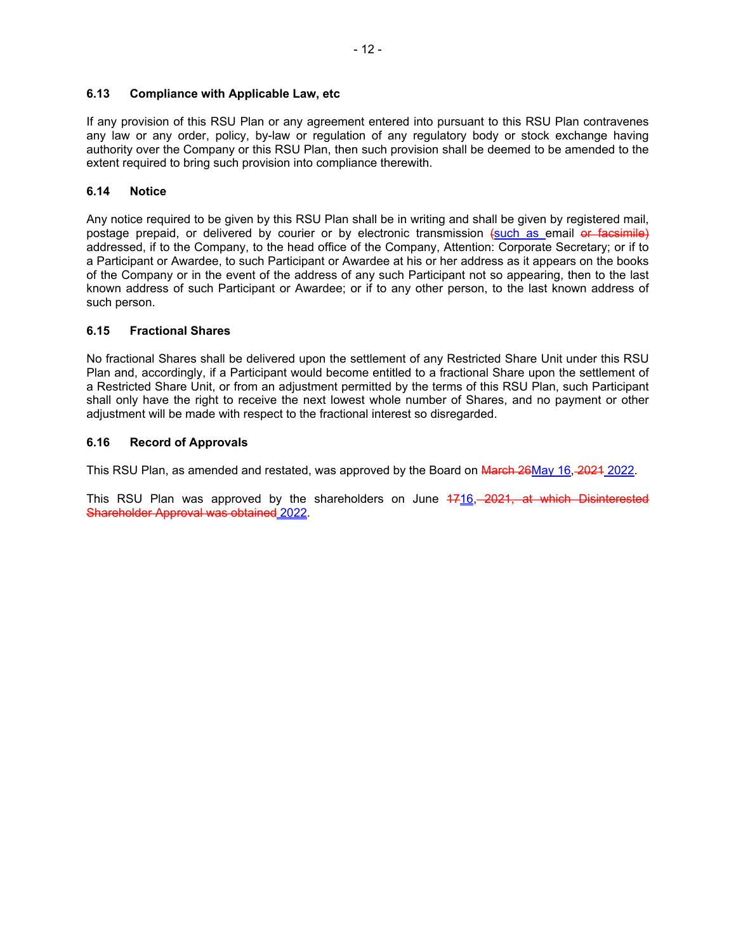## **6.13 Compliance with Applicable Law, etc**

If any provision of this RSU Plan or any agreement entered into pursuant to this RSU Plan contravenes any law or any order, policy, by-law or regulation of any regulatory body or stock exchange having authority over the Company or this RSU Plan, then such provision shall be deemed to be amended to the extent required to bring such provision into compliance therewith.

## **6.14 Notice**

Any notice required to be given by this RSU Plan shall be in writing and shall be given by registered mail, postage prepaid, or delivered by courier or by electronic transmission (such as email or facsimile) addressed, if to the Company, to the head office of the Company, Attention: Corporate Secretary; or if to a Participant or Awardee, to such Participant or Awardee at his or her address as it appears on the books of the Company or in the event of the address of any such Participant not so appearing, then to the last known address of such Participant or Awardee; or if to any other person, to the last known address of such person.

## **6.15 Fractional Shares**

No fractional Shares shall be delivered upon the settlement of any Restricted Share Unit under this RSU Plan and, accordingly, if a Participant would become entitled to a fractional Share upon the settlement of a Restricted Share Unit, or from an adjustment permitted by the terms of this RSU Plan, such Participant shall only have the right to receive the next lowest whole number of Shares, and no payment or other adjustment will be made with respect to the fractional interest so disregarded.

## **6.16 Record of Approvals**

This RSU Plan, as amended and restated, was approved by the Board on March 26May 16, 2021 2022.

This RSU Plan was approved by the shareholders on June 4716, 2021, at which Disinterested Shareholder Approval was obtained 2022.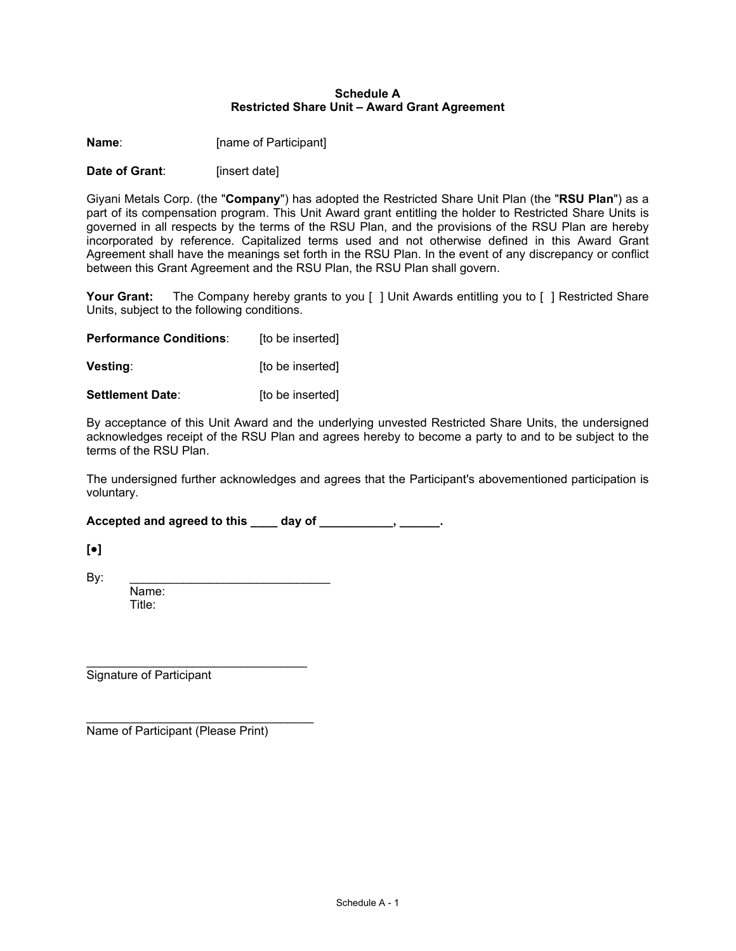### <span id="page-12-0"></span>**Schedule A Restricted Share Unit – Award Grant Agreement**

**Name:** [name of Participant]

**Date of Grant:** [insert date]

Giyani Metals Corp. (the "**Company**") has adopted the Restricted Share Unit Plan (the "**RSU Plan**") as a part of its compensation program. This Unit Award grant entitling the holder to Restricted Share Units is governed in all respects by the terms of the RSU Plan, and the provisions of the RSU Plan are hereby incorporated by reference. Capitalized terms used and not otherwise defined in this Award Grant Agreement shall have the meanings set forth in the RSU Plan. In the event of any discrepancy or conflict between this Grant Agreement and the RSU Plan, the RSU Plan shall govern.

Your Grant: The Company hereby grants to you [ ] Unit Awards entitling you to [ ] Restricted Share Units, subject to the following conditions.

**Performance Conditions:** [to be inserted]

**Vesting**: **If the inserted vesting**:

**Settlement Date:** [to be inserted]

By acceptance of this Unit Award and the underlying unvested Restricted Share Units, the undersigned acknowledges receipt of the RSU Plan and agrees hereby to become a party to and to be subject to the terms of the RSU Plan.

The undersigned further acknowledges and agrees that the Participant's abovementioned participation is voluntary.

**Accepted and agreed to this \_\_\_\_ day of \_\_\_\_\_\_\_\_\_\_\_, \_\_\_\_\_\_.**

**[●]**

 $\mathsf{By:}$ 

Name: Title:

\_\_\_\_\_\_\_\_\_\_\_\_\_\_\_\_\_\_\_\_\_\_\_\_\_\_\_\_\_\_\_\_\_ Signature of Participant

Name of Participant (Please Print)

\_\_\_\_\_\_\_\_\_\_\_\_\_\_\_\_\_\_\_\_\_\_\_\_\_\_\_\_\_\_\_\_\_\_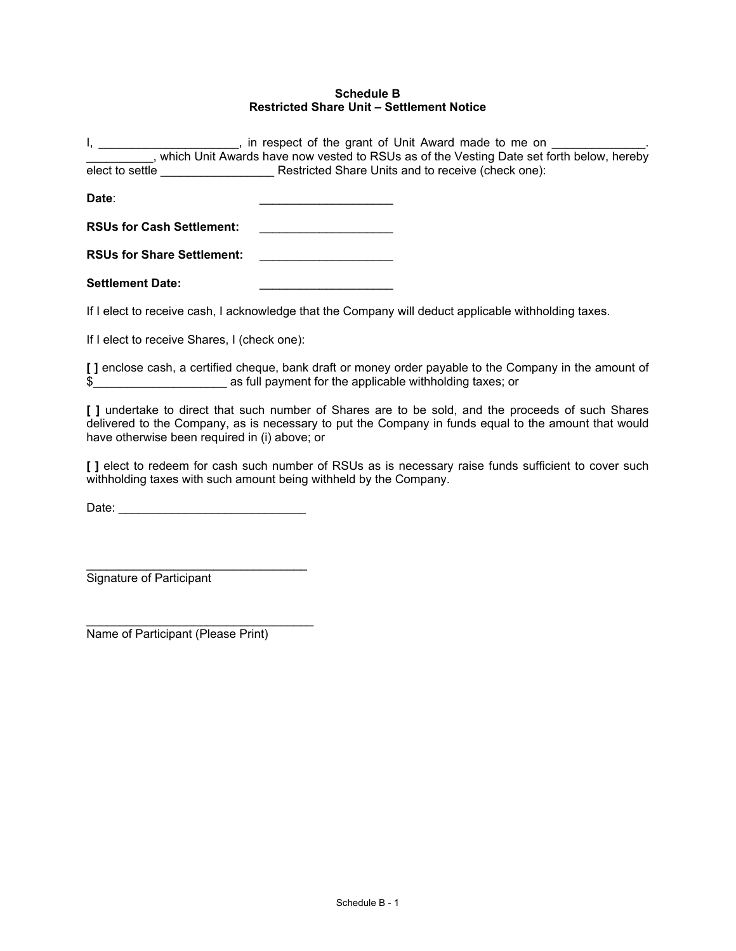### <span id="page-13-0"></span>**Schedule B Restricted Share Unit – Settlement Notice**

I, \_\_\_\_\_\_\_\_\_\_\_\_\_\_\_\_\_\_\_\_\_, in respect of the grant of Unit Award made to me on \_\_\_ \_\_\_\_\_\_\_\_\_\_, which Unit Awards have now vested to RSUs as of the Vesting Date set forth below, hereby elect to settle \_\_\_\_\_\_\_\_\_\_\_\_\_\_\_\_\_ Restricted Share Units and to receive (check one): **Date**: \_\_\_\_\_\_\_\_\_\_\_\_\_\_\_\_\_\_\_\_ **RSUs for Cash Settlement: RSUs for Share Settlement:** \_\_\_\_\_\_\_\_\_\_\_\_\_\_\_\_\_\_\_\_ Settlement Date:

If I elect to receive cash, I acknowledge that the Company will deduct applicable withholding taxes.

If I elect to receive Shares, I (check one):

**[ ]** enclose cash, a certified cheque, bank draft or money order payable to the Company in the amount of \$\_\_\_\_\_\_\_\_\_\_\_\_\_\_\_\_\_\_\_\_ as full payment for the applicable withholding taxes; or

**[ ]** undertake to direct that such number of Shares are to be sold, and the proceeds of such Shares delivered to the Company, as is necessary to put the Company in funds equal to the amount that would have otherwise been required in (i) above; or

**[ ]** elect to redeem for cash such number of RSUs as is necessary raise funds sufficient to cover such withholding taxes with such amount being withheld by the Company.

Date: \_\_\_\_\_\_\_\_\_\_\_\_\_\_\_\_\_\_\_\_\_\_\_\_\_\_\_\_

\_\_\_\_\_\_\_\_\_\_\_\_\_\_\_\_\_\_\_\_\_\_\_\_\_\_\_\_\_\_\_\_\_

Signature of Participant

\_\_\_\_\_\_\_\_\_\_\_\_\_\_\_\_\_\_\_\_\_\_\_\_\_\_\_\_\_\_\_\_\_\_ Name of Participant (Please Print)